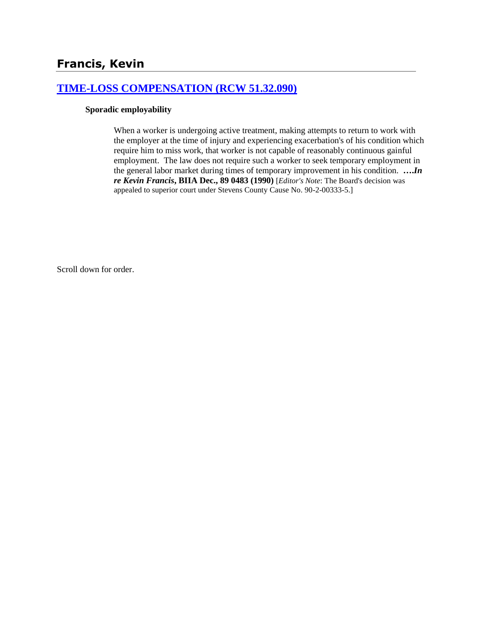# **Francis, Kevin**

## **[TIME-LOSS COMPENSATION \(RCW 51.32.090\)](http://www.biia.wa.gov/SDSubjectIndex.html#TIME_LOSS_COMPENSATION)**

#### **Sporadic employability**

When a worker is undergoing active treatment, making attempts to return to work with the employer at the time of injury and experiencing exacerbation's of his condition which require him to miss work, that worker is not capable of reasonably continuous gainful employment. The law does not require such a worker to seek temporary employment in the general labor market during times of temporary improvement in his condition. **….***In re Kevin Francis***, BIIA Dec., 89 0483 (1990)** [*Editor's Note*: The Board's decision was appealed to superior court under Stevens County Cause No. 90-2-00333-5.]

Scroll down for order.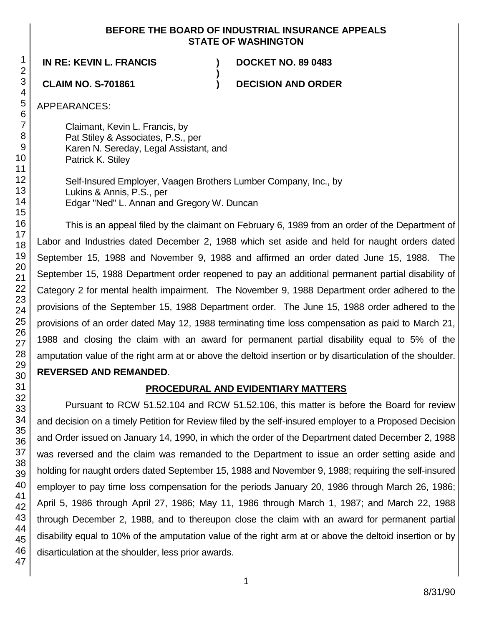#### **BEFORE THE BOARD OF INDUSTRIAL INSURANCE APPEALS STATE OF WASHINGTON**

**)**

#### **IN RE: KEVIN L. FRANCIS ) DOCKET NO. 89 0483**

**CLAIM NO. S-701861 ) DECISION AND ORDER**

APPEARANCES:

Claimant, Kevin L. Francis, by Pat Stiley & Associates, P.S., per Karen N. Sereday, Legal Assistant, and Patrick K. Stiley

Self-Insured Employer, Vaagen Brothers Lumber Company, Inc., by Lukins & Annis, P.S., per Edgar "Ned" L. Annan and Gregory W. Duncan

This is an appeal filed by the claimant on February 6, 1989 from an order of the Department of Labor and Industries dated December 2, 1988 which set aside and held for naught orders dated September 15, 1988 and November 9, 1988 and affirmed an order dated June 15, 1988. The September 15, 1988 Department order reopened to pay an additional permanent partial disability of Category 2 for mental health impairment. The November 9, 1988 Department order adhered to the provisions of the September 15, 1988 Department order. The June 15, 1988 order adhered to the provisions of an order dated May 12, 1988 terminating time loss compensation as paid to March 21, 1988 and closing the claim with an award for permanent partial disability equal to 5% of the amputation value of the right arm at or above the deltoid insertion or by disarticulation of the shoulder. **REVERSED AND REMANDED**.

#### **PROCEDURAL AND EVIDENTIARY MATTERS**

Pursuant to RCW 51.52.104 and RCW 51.52.106, this matter is before the Board for review and decision on a timely Petition for Review filed by the self-insured employer to a Proposed Decision and Order issued on January 14, 1990, in which the order of the Department dated December 2, 1988 was reversed and the claim was remanded to the Department to issue an order setting aside and holding for naught orders dated September 15, 1988 and November 9, 1988; requiring the self-insured employer to pay time loss compensation for the periods January 20, 1986 through March 26, 1986; April 5, 1986 through April 27, 1986; May 11, 1986 through March 1, 1987; and March 22, 1988 through December 2, 1988, and to thereupon close the claim with an award for permanent partial disability equal to 10% of the amputation value of the right arm at or above the deltoid insertion or by disarticulation at the shoulder, less prior awards.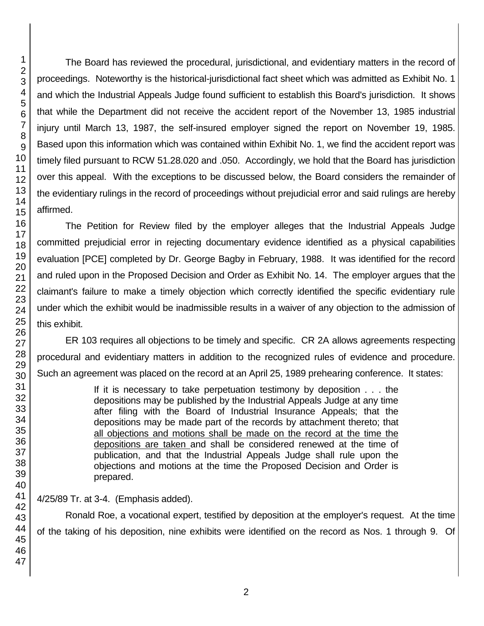The Board has reviewed the procedural, jurisdictional, and evidentiary matters in the record of proceedings. Noteworthy is the historical-jurisdictional fact sheet which was admitted as Exhibit No. 1 and which the Industrial Appeals Judge found sufficient to establish this Board's jurisdiction. It shows that while the Department did not receive the accident report of the November 13, 1985 industrial injury until March 13, 1987, the self-insured employer signed the report on November 19, 1985. Based upon this information which was contained within Exhibit No. 1, we find the accident report was timely filed pursuant to RCW 51.28.020 and .050. Accordingly, we hold that the Board has jurisdiction over this appeal. With the exceptions to be discussed below, the Board considers the remainder of the evidentiary rulings in the record of proceedings without prejudicial error and said rulings are hereby affirmed.

The Petition for Review filed by the employer alleges that the Industrial Appeals Judge committed prejudicial error in rejecting documentary evidence identified as a physical capabilities evaluation [PCE] completed by Dr. George Bagby in February, 1988. It was identified for the record and ruled upon in the Proposed Decision and Order as Exhibit No. 14. The employer argues that the claimant's failure to make a timely objection which correctly identified the specific evidentiary rule under which the exhibit would be inadmissible results in a waiver of any objection to the admission of this exhibit.

ER 103 requires all objections to be timely and specific. CR 2A allows agreements respecting procedural and evidentiary matters in addition to the recognized rules of evidence and procedure. Such an agreement was placed on the record at an April 25, 1989 prehearing conference. It states:

> If it is necessary to take perpetuation testimony by deposition . . . the depositions may be published by the Industrial Appeals Judge at any time after filing with the Board of Industrial Insurance Appeals; that the depositions may be made part of the records by attachment thereto; that all objections and motions shall be made on the record at the time the depositions are taken and shall be considered renewed at the time of publication, and that the Industrial Appeals Judge shall rule upon the objections and motions at the time the Proposed Decision and Order is prepared.

4/25/89 Tr. at 3-4. (Emphasis added).

Ronald Roe, a vocational expert, testified by deposition at the employer's request. At the time of the taking of his deposition, nine exhibits were identified on the record as Nos. 1 through 9. Of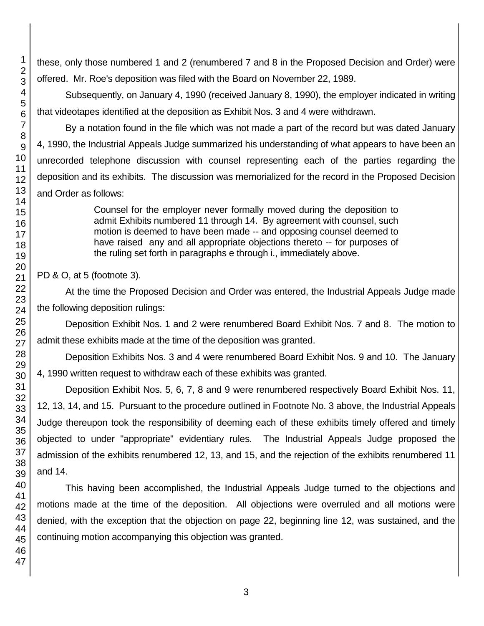these, only those numbered 1 and 2 (renumbered 7 and 8 in the Proposed Decision and Order) were offered. Mr. Roe's deposition was filed with the Board on November 22, 1989.

Subsequently, on January 4, 1990 (received January 8, 1990), the employer indicated in writing that videotapes identified at the deposition as Exhibit Nos. 3 and 4 were withdrawn.

By a notation found in the file which was not made a part of the record but was dated January 4, 1990, the Industrial Appeals Judge summarized his understanding of what appears to have been an unrecorded telephone discussion with counsel representing each of the parties regarding the deposition and its exhibits. The discussion was memorialized for the record in the Proposed Decision and Order as follows:

> Counsel for the employer never formally moved during the deposition to admit Exhibits numbered 11 through 14. By agreement with counsel, such motion is deemed to have been made -- and opposing counsel deemed to have raised any and all appropriate objections thereto -- for purposes of the ruling set forth in paragraphs e through i., immediately above.

PD & O, at 5 (footnote 3).

At the time the Proposed Decision and Order was entered, the Industrial Appeals Judge made the following deposition rulings:

Deposition Exhibit Nos. 1 and 2 were renumbered Board Exhibit Nos. 7 and 8. The motion to admit these exhibits made at the time of the deposition was granted.

Deposition Exhibits Nos. 3 and 4 were renumbered Board Exhibit Nos. 9 and 10. The January 4, 1990 written request to withdraw each of these exhibits was granted.

Deposition Exhibit Nos. 5, 6, 7, 8 and 9 were renumbered respectively Board Exhibit Nos. 11, 12, 13, 14, and 15. Pursuant to the procedure outlined in Footnote No. 3 above, the Industrial Appeals Judge thereupon took the responsibility of deeming each of these exhibits timely offered and timely objected to under "appropriate" evidentiary rules. The Industrial Appeals Judge proposed the admission of the exhibits renumbered 12, 13, and 15, and the rejection of the exhibits renumbered 11 and 14.

This having been accomplished, the Industrial Appeals Judge turned to the objections and motions made at the time of the deposition. All objections were overruled and all motions were denied, with the exception that the objection on page 22, beginning line 12, was sustained, and the continuing motion accompanying this objection was granted.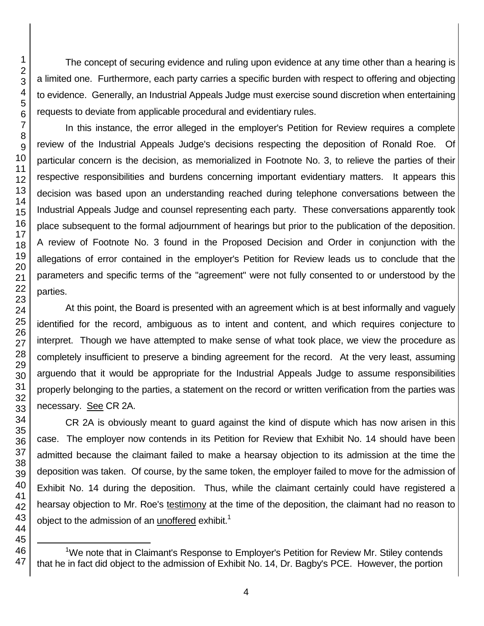The concept of securing evidence and ruling upon evidence at any time other than a hearing is a limited one. Furthermore, each party carries a specific burden with respect to offering and objecting to evidence. Generally, an Industrial Appeals Judge must exercise sound discretion when entertaining requests to deviate from applicable procedural and evidentiary rules.

In this instance, the error alleged in the employer's Petition for Review requires a complete review of the Industrial Appeals Judge's decisions respecting the deposition of Ronald Roe. Of particular concern is the decision, as memorialized in Footnote No. 3, to relieve the parties of their respective responsibilities and burdens concerning important evidentiary matters. It appears this decision was based upon an understanding reached during telephone conversations between the Industrial Appeals Judge and counsel representing each party. These conversations apparently took place subsequent to the formal adjournment of hearings but prior to the publication of the deposition. A review of Footnote No. 3 found in the Proposed Decision and Order in conjunction with the allegations of error contained in the employer's Petition for Review leads us to conclude that the parameters and specific terms of the "agreement" were not fully consented to or understood by the parties.

At this point, the Board is presented with an agreement which is at best informally and vaguely identified for the record, ambiguous as to intent and content, and which requires conjecture to interpret. Though we have attempted to make sense of what took place, we view the procedure as completely insufficient to preserve a binding agreement for the record. At the very least, assuming arguendo that it would be appropriate for the Industrial Appeals Judge to assume responsibilities properly belonging to the parties, a statement on the record or written verification from the parties was necessary. See CR 2A.

CR 2A is obviously meant to guard against the kind of dispute which has now arisen in this case. The employer now contends in its Petition for Review that Exhibit No. 14 should have been admitted because the claimant failed to make a hearsay objection to its admission at the time the deposition was taken. Of course, by the same token, the employer failed to move for the admission of Exhibit No. 14 during the deposition. Thus, while the claimant certainly could have registered a hearsay objection to Mr. Roe's testimony at the time of the deposition, the claimant had no reason to object to the admission of an unoffered exhibit.<sup>1</sup>

l <sup>1</sup>We note that in Claimant's Response to Emplover's Petition for Review Mr. Stiley contends that he in fact did object to the admission of Exhibit No. 14, Dr. Bagby's PCE. However, the portion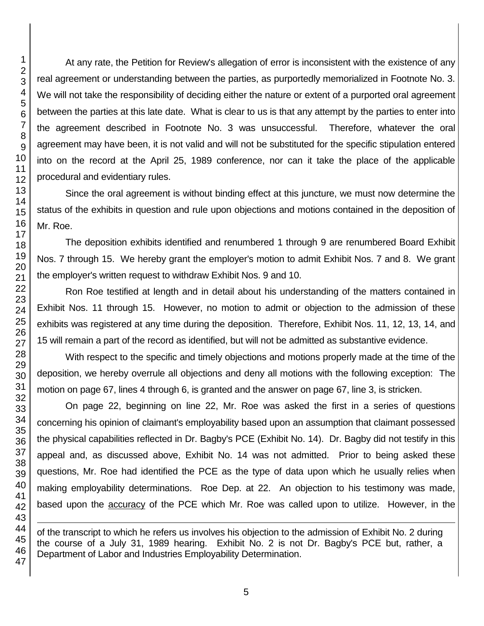At any rate, the Petition for Review's allegation of error is inconsistent with the existence of any real agreement or understanding between the parties, as purportedly memorialized in Footnote No. 3. We will not take the responsibility of deciding either the nature or extent of a purported oral agreement between the parties at this late date. What is clear to us is that any attempt by the parties to enter into the agreement described in Footnote No. 3 was unsuccessful. Therefore, whatever the oral agreement may have been, it is not valid and will not be substituted for the specific stipulation entered into on the record at the April 25, 1989 conference, nor can it take the place of the applicable procedural and evidentiary rules.

Since the oral agreement is without binding effect at this juncture, we must now determine the status of the exhibits in question and rule upon objections and motions contained in the deposition of Mr. Roe.

The deposition exhibits identified and renumbered 1 through 9 are renumbered Board Exhibit Nos. 7 through 15. We hereby grant the employer's motion to admit Exhibit Nos. 7 and 8. We grant the employer's written request to withdraw Exhibit Nos. 9 and 10.

Ron Roe testified at length and in detail about his understanding of the matters contained in Exhibit Nos. 11 through 15. However, no motion to admit or objection to the admission of these exhibits was registered at any time during the deposition. Therefore, Exhibit Nos. 11, 12, 13, 14, and 15 will remain a part of the record as identified, but will not be admitted as substantive evidence.

With respect to the specific and timely objections and motions properly made at the time of the deposition, we hereby overrule all objections and deny all motions with the following exception: The motion on page 67, lines 4 through 6, is granted and the answer on page 67, line 3, is stricken.

On page 22, beginning on line 22, Mr. Roe was asked the first in a series of questions concerning his opinion of claimant's employability based upon an assumption that claimant possessed the physical capabilities reflected in Dr. Bagby's PCE (Exhibit No. 14). Dr. Bagby did not testify in this appeal and, as discussed above, Exhibit No. 14 was not admitted. Prior to being asked these questions, Mr. Roe had identified the PCE as the type of data upon which he usually relies when making employability determinations. Roe Dep. at 22. An objection to his testimony was made, based upon the **accuracy** of the PCE which Mr. Roe was called upon to utilize. However, in the

of the transcript to which he refers us involves his objection to the admission of Exhibit No. 2 during the course of a July 31, 1989 hearing. Exhibit No. 2 is not Dr. Bagby's PCE but, rather, a Department of Labor and Industries Employability Determination.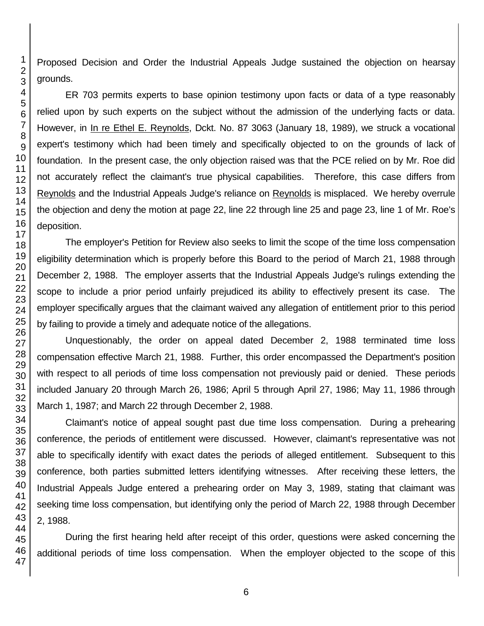Proposed Decision and Order the Industrial Appeals Judge sustained the objection on hearsay grounds.

ER 703 permits experts to base opinion testimony upon facts or data of a type reasonably relied upon by such experts on the subject without the admission of the underlying facts or data. However, in In re Ethel E. Reynolds, Dckt. No. 87 3063 (January 18, 1989), we struck a vocational expert's testimony which had been timely and specifically objected to on the grounds of lack of foundation. In the present case, the only objection raised was that the PCE relied on by Mr. Roe did not accurately reflect the claimant's true physical capabilities. Therefore, this case differs from Reynolds and the Industrial Appeals Judge's reliance on Reynolds is misplaced. We hereby overrule the objection and deny the motion at page 22, line 22 through line 25 and page 23, line 1 of Mr. Roe's deposition.

The employer's Petition for Review also seeks to limit the scope of the time loss compensation eligibility determination which is properly before this Board to the period of March 21, 1988 through December 2, 1988. The employer asserts that the Industrial Appeals Judge's rulings extending the scope to include a prior period unfairly prejudiced its ability to effectively present its case. The employer specifically argues that the claimant waived any allegation of entitlement prior to this period by failing to provide a timely and adequate notice of the allegations.

Unquestionably, the order on appeal dated December 2, 1988 terminated time loss compensation effective March 21, 1988. Further, this order encompassed the Department's position with respect to all periods of time loss compensation not previously paid or denied. These periods included January 20 through March 26, 1986; April 5 through April 27, 1986; May 11, 1986 through March 1, 1987; and March 22 through December 2, 1988.

Claimant's notice of appeal sought past due time loss compensation. During a prehearing conference, the periods of entitlement were discussed. However, claimant's representative was not able to specifically identify with exact dates the periods of alleged entitlement. Subsequent to this conference, both parties submitted letters identifying witnesses. After receiving these letters, the Industrial Appeals Judge entered a prehearing order on May 3, 1989, stating that claimant was seeking time loss compensation, but identifying only the period of March 22, 1988 through December 2, 1988.

During the first hearing held after receipt of this order, questions were asked concerning the additional periods of time loss compensation. When the employer objected to the scope of this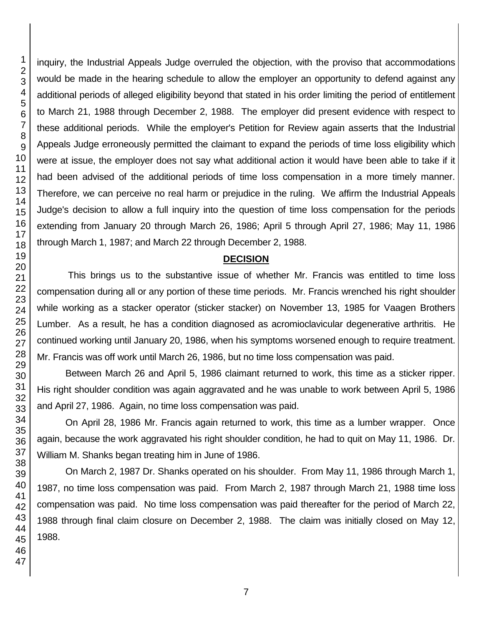inquiry, the Industrial Appeals Judge overruled the objection, with the proviso that accommodations would be made in the hearing schedule to allow the employer an opportunity to defend against any additional periods of alleged eligibility beyond that stated in his order limiting the period of entitlement to March 21, 1988 through December 2, 1988. The employer did present evidence with respect to these additional periods. While the employer's Petition for Review again asserts that the Industrial Appeals Judge erroneously permitted the claimant to expand the periods of time loss eligibility which were at issue, the employer does not say what additional action it would have been able to take if it had been advised of the additional periods of time loss compensation in a more timely manner. Therefore, we can perceive no real harm or prejudice in the ruling. We affirm the Industrial Appeals Judge's decision to allow a full inquiry into the question of time loss compensation for the periods extending from January 20 through March 26, 1986; April 5 through April 27, 1986; May 11, 1986 through March 1, 1987; and March 22 through December 2, 1988.

#### **DECISION**

This brings us to the substantive issue of whether Mr. Francis was entitled to time loss compensation during all or any portion of these time periods. Mr. Francis wrenched his right shoulder while working as a stacker operator (sticker stacker) on November 13, 1985 for Vaagen Brothers Lumber. As a result, he has a condition diagnosed as acromioclavicular degenerative arthritis. He continued working until January 20, 1986, when his symptoms worsened enough to require treatment. Mr. Francis was off work until March 26, 1986, but no time loss compensation was paid.

Between March 26 and April 5, 1986 claimant returned to work, this time as a sticker ripper. His right shoulder condition was again aggravated and he was unable to work between April 5, 1986 and April 27, 1986. Again, no time loss compensation was paid.

On April 28, 1986 Mr. Francis again returned to work, this time as a lumber wrapper. Once again, because the work aggravated his right shoulder condition, he had to quit on May 11, 1986. Dr. William M. Shanks began treating him in June of 1986.

On March 2, 1987 Dr. Shanks operated on his shoulder. From May 11, 1986 through March 1, 1987, no time loss compensation was paid. From March 2, 1987 through March 21, 1988 time loss compensation was paid. No time loss compensation was paid thereafter for the period of March 22, 1988 through final claim closure on December 2, 1988. The claim was initially closed on May 12,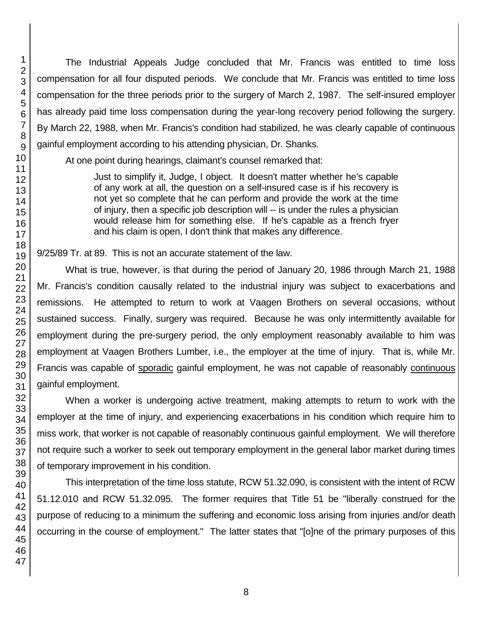The Industrial Appeals Judge concluded that Mr. Francis was entitled to time loss compensation for all four disputed periods. We conclude that Mr. Francis was entitled to time loss compensation for the three periods prior to the surgery of March 2, 1987. The self-insured employer has already paid time loss compensation during the year-long recovery period following the surgery. By March 22, 1988, when Mr. Francis's condition had stabilized, he was clearly capable of continuous gainful employment according to his attending physician, Dr. Shanks.

At one point during hearings, claimant's counsel remarked that:

Just to simplify it, Judge, I object. It doesn't matter whether he's capable of any work at all, the question on a self-insured case is if his recovery is not yet so complete that he can perform and provide the work at the time of injury, then a specific job description will -- is under the rules a physician would release him for something else. If he's capable as a french fryer and his claim is open, I don't think that makes any difference.

9/25/89 Tr. at 89. This is not an accurate statement of the law.

What is true, however, is that during the period of January 20, 1986 through March 21, 1988 Mr. Francis's condition causally related to the industrial injury was subject to exacerbations and remissions. He attempted to return to work at Vaagen Brothers on several occasions, without sustained success. Finally, surgery was required. Because he was only intermittently available for employment during the pre-surgery period, the only employment reasonably available to him was employment at Vaagen Brothers Lumber, i.e., the employer at the time of injury. That is, while Mr. Francis was capable of sporadic gainful employment, he was not capable of reasonably continuous gainful employment.

When a worker is undergoing active treatment, making attempts to return to work with the employer at the time of injury, and experiencing exacerbations in his condition which require him to miss work, that worker is not capable of reasonably continuous gainful employment. We will therefore not require such a worker to seek out temporary employment in the general labor market during times of temporary improvement in his condition.

This interpretation of the time loss statute, RCW 51.32.090, is consistent with the intent of RCW 51.12.010 and RCW 51.32.095. The former requires that Title 51 be "liberally construed for the purpose of reducing to a minimum the suffering and economic loss arising from injuries and/or death occurring in the course of employment." The latter states that "[o]ne of the primary purposes of this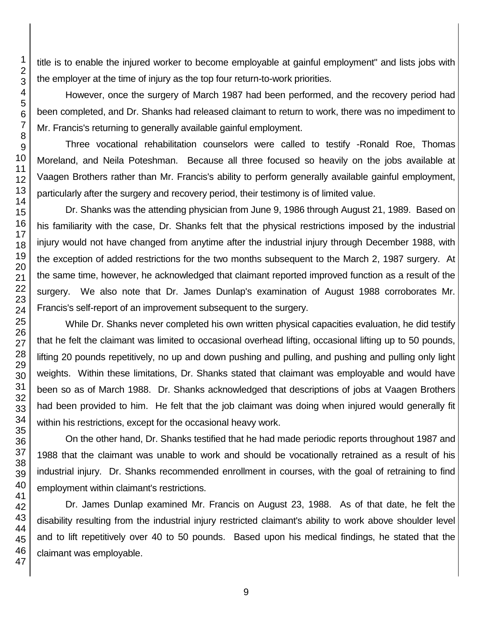title is to enable the injured worker to become employable at gainful employment" and lists jobs with the employer at the time of injury as the top four return-to-work priorities.

However, once the surgery of March 1987 had been performed, and the recovery period had been completed, and Dr. Shanks had released claimant to return to work, there was no impediment to Mr. Francis's returning to generally available gainful employment.

Three vocational rehabilitation counselors were called to testify -Ronald Roe, Thomas Moreland, and Neila Poteshman. Because all three focused so heavily on the jobs available at Vaagen Brothers rather than Mr. Francis's ability to perform generally available gainful employment, particularly after the surgery and recovery period, their testimony is of limited value.

Dr. Shanks was the attending physician from June 9, 1986 through August 21, 1989. Based on his familiarity with the case, Dr. Shanks felt that the physical restrictions imposed by the industrial injury would not have changed from anytime after the industrial injury through December 1988, with the exception of added restrictions for the two months subsequent to the March 2, 1987 surgery. At the same time, however, he acknowledged that claimant reported improved function as a result of the surgery. We also note that Dr. James Dunlap's examination of August 1988 corroborates Mr. Francis's self-report of an improvement subsequent to the surgery.

While Dr. Shanks never completed his own written physical capacities evaluation, he did testify that he felt the claimant was limited to occasional overhead lifting, occasional lifting up to 50 pounds, lifting 20 pounds repetitively, no up and down pushing and pulling, and pushing and pulling only light weights. Within these limitations, Dr. Shanks stated that claimant was employable and would have been so as of March 1988. Dr. Shanks acknowledged that descriptions of jobs at Vaagen Brothers had been provided to him. He felt that the job claimant was doing when injured would generally fit within his restrictions, except for the occasional heavy work.

On the other hand, Dr. Shanks testified that he had made periodic reports throughout 1987 and 1988 that the claimant was unable to work and should be vocationally retrained as a result of his industrial injury. Dr. Shanks recommended enrollment in courses, with the goal of retraining to find employment within claimant's restrictions.

Dr. James Dunlap examined Mr. Francis on August 23, 1988. As of that date, he felt the disability resulting from the industrial injury restricted claimant's ability to work above shoulder level and to lift repetitively over 40 to 50 pounds. Based upon his medical findings, he stated that the claimant was employable.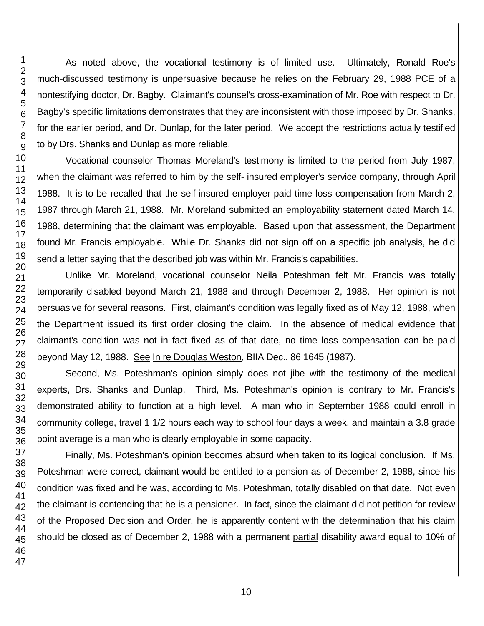As noted above, the vocational testimony is of limited use. Ultimately, Ronald Roe's much-discussed testimony is unpersuasive because he relies on the February 29, 1988 PCE of a nontestifying doctor, Dr. Bagby. Claimant's counsel's cross-examination of Mr. Roe with respect to Dr. Bagby's specific limitations demonstrates that they are inconsistent with those imposed by Dr. Shanks, for the earlier period, and Dr. Dunlap, for the later period. We accept the restrictions actually testified to by Drs. Shanks and Dunlap as more reliable.

Vocational counselor Thomas Moreland's testimony is limited to the period from July 1987, when the claimant was referred to him by the self- insured employer's service company, through April 1988. It is to be recalled that the self-insured employer paid time loss compensation from March 2, 1987 through March 21, 1988. Mr. Moreland submitted an employability statement dated March 14, 1988, determining that the claimant was employable. Based upon that assessment, the Department found Mr. Francis employable. While Dr. Shanks did not sign off on a specific job analysis, he did send a letter saying that the described job was within Mr. Francis's capabilities.

Unlike Mr. Moreland, vocational counselor Neila Poteshman felt Mr. Francis was totally temporarily disabled beyond March 21, 1988 and through December 2, 1988. Her opinion is not persuasive for several reasons. First, claimant's condition was legally fixed as of May 12, 1988, when the Department issued its first order closing the claim. In the absence of medical evidence that claimant's condition was not in fact fixed as of that date, no time loss compensation can be paid beyond May 12, 1988. See In re Douglas Weston, BIIA Dec., 86 1645 (1987).

Second, Ms. Poteshman's opinion simply does not jibe with the testimony of the medical experts, Drs. Shanks and Dunlap. Third, Ms. Poteshman's opinion is contrary to Mr. Francis's demonstrated ability to function at a high level. A man who in September 1988 could enroll in community college, travel 1 1/2 hours each way to school four days a week, and maintain a 3.8 grade point average is a man who is clearly employable in some capacity.

Finally, Ms. Poteshman's opinion becomes absurd when taken to its logical conclusion. If Ms. Poteshman were correct, claimant would be entitled to a pension as of December 2, 1988, since his condition was fixed and he was, according to Ms. Poteshman, totally disabled on that date. Not even the claimant is contending that he is a pensioner. In fact, since the claimant did not petition for review of the Proposed Decision and Order, he is apparently content with the determination that his claim should be closed as of December 2, 1988 with a permanent partial disability award equal to 10% of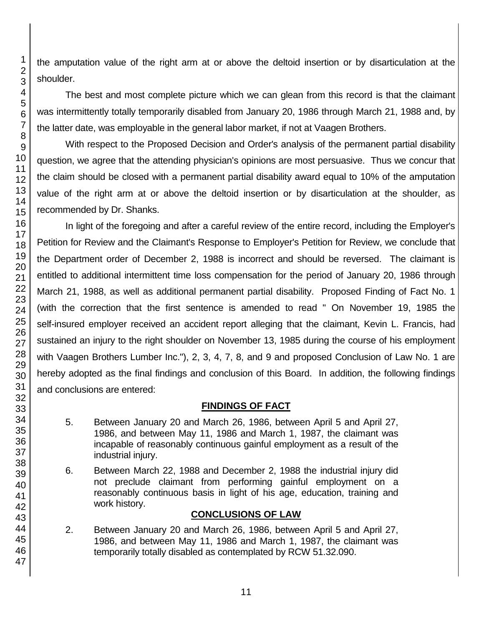the amputation value of the right arm at or above the deltoid insertion or by disarticulation at the shoulder.

The best and most complete picture which we can glean from this record is that the claimant was intermittently totally temporarily disabled from January 20, 1986 through March 21, 1988 and, by the latter date, was employable in the general labor market, if not at Vaagen Brothers.

With respect to the Proposed Decision and Order's analysis of the permanent partial disability question, we agree that the attending physician's opinions are most persuasive. Thus we concur that the claim should be closed with a permanent partial disability award equal to 10% of the amputation value of the right arm at or above the deltoid insertion or by disarticulation at the shoulder, as recommended by Dr. Shanks.

In light of the foregoing and after a careful review of the entire record, including the Employer's Petition for Review and the Claimant's Response to Employer's Petition for Review, we conclude that the Department order of December 2, 1988 is incorrect and should be reversed. The claimant is entitled to additional intermittent time loss compensation for the period of January 20, 1986 through March 21, 1988, as well as additional permanent partial disability. Proposed Finding of Fact No. 1 (with the correction that the first sentence is amended to read " On November 19, 1985 the self-insured employer received an accident report alleging that the claimant, Kevin L. Francis, had sustained an injury to the right shoulder on November 13, 1985 during the course of his employment with Vaagen Brothers Lumber Inc."), 2, 3, 4, 7, 8, and 9 and proposed Conclusion of Law No. 1 are hereby adopted as the final findings and conclusion of this Board. In addition, the following findings and conclusions are entered:

## **FINDINGS OF FACT**

- 5. Between January 20 and March 26, 1986, between April 5 and April 27, 1986, and between May 11, 1986 and March 1, 1987, the claimant was incapable of reasonably continuous gainful employment as a result of the industrial injury.
- 6. Between March 22, 1988 and December 2, 1988 the industrial injury did not preclude claimant from performing gainful employment on a reasonably continuous basis in light of his age, education, training and work history.

## **CONCLUSIONS OF LAW**

2. Between January 20 and March 26, 1986, between April 5 and April 27, 1986, and between May 11, 1986 and March 1, 1987, the claimant was temporarily totally disabled as contemplated by RCW 51.32.090.